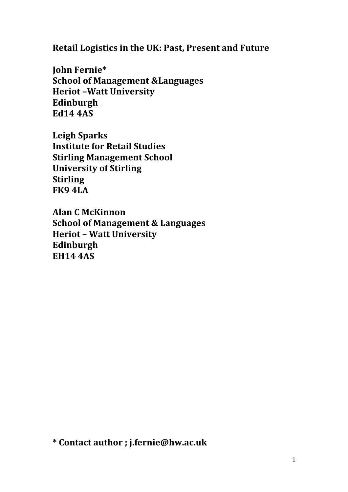**Retail Logistics in the UK: Past, Present and Future** 

**John Fernie\* School of Management &Languages Heriot –Watt University Edinburgh Ed14 4AS** 

**Leigh Sparks Institute for Retail Studies Stirling Management School University of Stirling Stirling FK9 4LA** 

**Alan C McKinnon School of Management & Languages Heriot – Watt University Edinburgh EH14 4AS** 

**\* Contact author ; j.fernie@hw.ac.uk**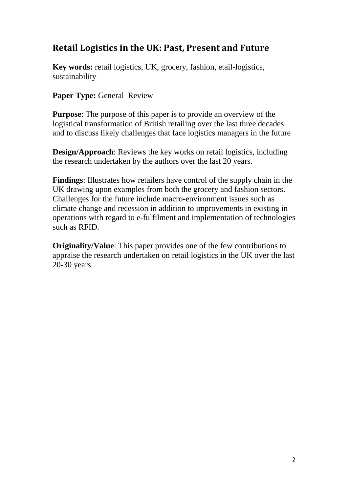# **Retail Logistics in the UK: Past, Present and Future**

**Key words:** retail logistics, UK, grocery, fashion, etail-logistics, sustainability

**Paper Type: General Review** 

**Purpose**: The purpose of this paper is to provide an overview of the logistical transformation of British retailing over the last three decades and to discuss likely challenges that face logistics managers in the future

**Design/Approach**: Reviews the key works on retail logistics, including the research undertaken by the authors over the last 20 years.

**Findings**: Illustrates how retailers have control of the supply chain in the UK drawing upon examples from both the grocery and fashion sectors. Challenges for the future include macro-environment issues such as climate change and recession in addition to improvements in existing in operations with regard to e-fulfilment and implementation of technologies such as RFID.

**Originality/Value**: This paper provides one of the few contributions to appraise the research undertaken on retail logistics in the UK over the last 20-30 years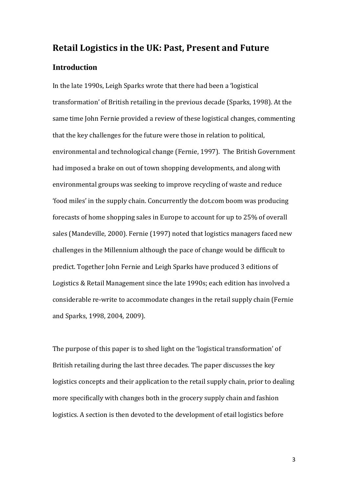# **Retail Logistics in the UK: Past, Present and Future**

### **Introduction**

In the late 1990s, Leigh Sparks wrote that there had been a 'logistical transformation' of British retailing in the previous decade (Sparks, 1998). At the same time John Fernie provided a review of these logistical changes, commenting that the key challenges for the future were those in relation to political, environmental and technological change (Fernie, 1997). The British Government had imposed a brake on out of town shopping developments, and along with environmental groups was seeking to improve recycling of waste and reduce 'food miles' in the supply chain. Concurrently the dot.com boom was producing forecasts of home shopping sales in Europe to account for up to 25% of overall sales (Mandeville, 2000). Fernie (1997) noted that logistics managers faced new challenges in the Millennium although the pace of change would be difficult to predict. Together John Fernie and Leigh Sparks have produced 3 editions of Logistics & Retail Management since the late 1990s; each edition has involved a considerable re-write to accommodate changes in the retail supply chain (Fernie and Sparks, 1998, 2004, 2009).

The purpose of this paper is to shed light on the 'logistical transformation' of British retailing during the last three decades. The paper discusses the key logistics concepts and their application to the retail supply chain, prior to dealing more specifically with changes both in the grocery supply chain and fashion logistics. A section is then devoted to the development of etail logistics before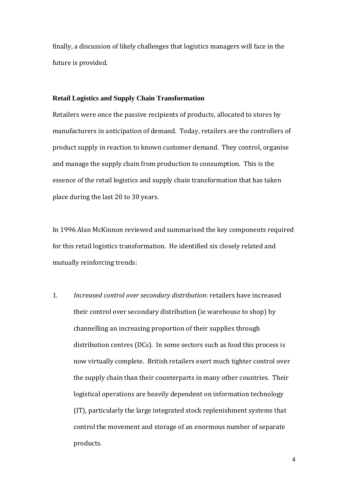finally, a discussion of likely challenges that logistics managers will face in the future is provided.

#### **Retail Logistics and Supply Chain Transformation**

Retailers were once the passive recipients of products, allocated to stores by manufacturers in anticipation of demand. Today, retailers are the controllers of product supply in reaction to known customer demand. They control, organise and manage the supply chain from production to consumption. This is the essence of the retail logistics and supply chain transformation that has taken place during the last 20 to 30 years.

In 1996 Alan McKinnon reviewed and summarised the key components required for this retail logistics transformation. He identified six closely related and mutually reinforcing trends:

1. *Increased control over secondary distribution*: retailers have increased their control over secondary distribution (ie warehouse to shop) by channelling an increasing proportion of their supplies through distribution centres (DCs). In some sectors such as food this process is now virtually complete. British retailers exert much tighter control over the supply chain than their counterparts in many other countries. Their logistical operations are heavily dependent on information technology (IT), particularly the large integrated stock replenishment systems that control the movement and storage of an enormous number of separate products.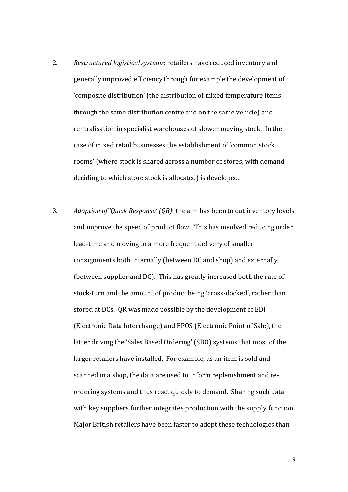- 2. *Restructured logistical systems*: retailers have reduced inventory and generally improved efficiency through for example the development of 'composite distribution' (the distribution of mixed temperature items through the same distribution centre and on the same vehicle) and centralisation in specialist warehouses of slower moving stock. In the case of mixed retail businesses the establishment of 'common stock rooms' (where stock is shared across a number of stores, with demand deciding to which store stock is allocated) is developed.
- 3. *Adoption of 'Quick Response' (QR)*: the aim has been to cut inventory levels and improve the speed of product flow. This has involved reducing order lead-time and moving to a more frequent delivery of smaller consignments both internally (between DC and shop) and externally (between supplier and DC). This has greatly increased both the rate of stock-turn and the amount of product being 'cross-docked', rather than stored at DCs. QR was made possible by the development of EDI (Electronic Data Interchange) and EPOS (Electronic Point of Sale), the latter driving the 'Sales Based Ordering' (SBO) systems that most of the larger retailers have installed. For example, as an item is sold and scanned in a shop, the data are used to inform replenishment and reordering systems and thus react quickly to demand. Sharing such data with key suppliers further integrates production with the supply function. Major British retailers have been faster to adopt these technologies than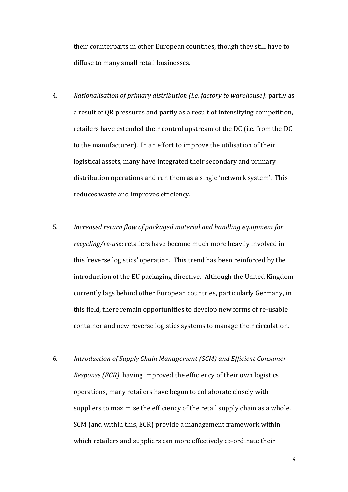their counterparts in other European countries, though they still have to diffuse to many small retail businesses.

- 4. *Rationalisation of primary distribution (i.e. factory to warehouse)*: partly as a result of QR pressures and partly as a result of intensifying competition, retailers have extended their control upstream of the DC (i.e. from the DC to the manufacturer). In an effort to improve the utilisation of their logistical assets, many have integrated their secondary and primary distribution operations and run them as a single 'network system'. This reduces waste and improves efficiency.
- 5. *Increased return flow of packaged material and handling equipment for recycling/re-use*: retailers have become much more heavily involved in this 'reverse logistics' operation. This trend has been reinforced by the introduction of the EU packaging directive. Although the United Kingdom currently lags behind other European countries, particularly Germany, in this field, there remain opportunities to develop new forms of re-usable container and new reverse logistics systems to manage their circulation.
- 6. *Introduction of Supply Chain Management (SCM) and Efficient Consumer Response (ECR)*: having improved the efficiency of their own logistics operations, many retailers have begun to collaborate closely with suppliers to maximise the efficiency of the retail supply chain as a whole. SCM (and within this, ECR) provide a management framework within which retailers and suppliers can more effectively co-ordinate their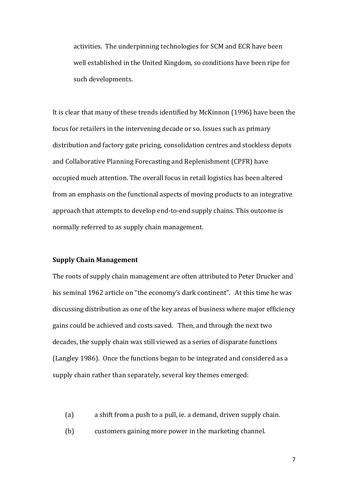activities. The underpinning technologies for SCM and ECR have been well established in the United Kingdom, so conditions have been ripe for such developments.

It is clear that many of these trends identified by McKinnon (1996) have been the focus for retailers in the intervening decade or so. Issues such as primary distribution and factory gate pricing, consolidation centres and stockless depots and Collaborative Planning Forecasting and Replenishment (CPFR) have occupied much attention. The overall focus in retail logistics has been altered from an emphasis on the functional aspects of moving products to an integrative approach that attempts to develop end-to-end supply chains. This outcome is normally referred to as supply chain management.

#### **Supply Chain Management**

The roots of supply chain management are often attributed to Peter Drucker and his seminal 1962 article on "the economy's dark continent". At this time he was discussing distribution as one of the key areas of business where major efficiency gains could be achieved and costs saved. Then, and through the next two decades, the supply chain was still viewed as a series of disparate functions (Langley 1986). Once the functions began to be integrated and considered as a supply chain rather than separately, several key themes emerged:

- (a) a shift from a push to a pull, ie. a demand, driven supply chain.
- (b) customers gaining more power in the marketing channel.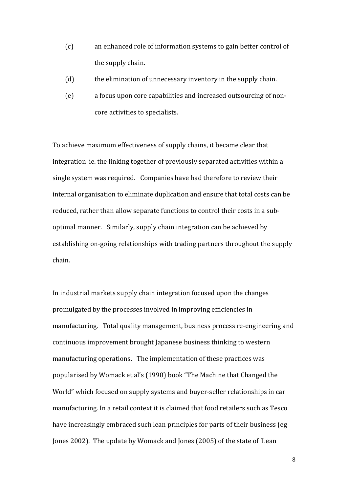- (c) an enhanced role of information systems to gain better control of the supply chain.
- (d) the elimination of unnecessary inventory in the supply chain.
- (e) a focus upon core capabilities and increased outsourcing of noncore activities to specialists.

To achieve maximum effectiveness of supply chains, it became clear that integration ie. the linking together of previously separated activities within a single system was required. Companies have had therefore to review their internal organisation to eliminate duplication and ensure that total costs can be reduced, rather than allow separate functions to control their costs in a suboptimal manner. Similarly, supply chain integration can be achieved by establishing on-going relationships with trading partners throughout the supply chain.

In industrial markets supply chain integration focused upon the changes promulgated by the processes involved in improving efficiencies in manufacturing. Total quality management, business process re-engineering and continuous improvement brought Japanese business thinking to western manufacturing operations. The implementation of these practices was popularised by Womack et al's (1990) book "The Machine that Changed the World" which focused on supply systems and buyer-seller relationships in car manufacturing. In a retail context it is claimed that food retailers such as Tesco have increasingly embraced such lean principles for parts of their business (eg Jones 2002). The update by Womack and Jones (2005) of the state of 'Lean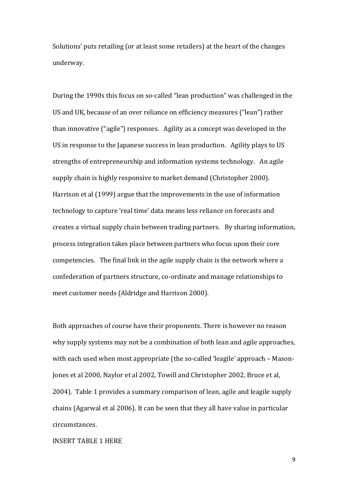Solutions' puts retailing (or at least some retailers) at the heart of the changes underway.

During the 1990s this focus on so-called "lean production" was challenged in the US and UK, because of an over reliance on efficiency measures ("lean") rather than innovative ("agile") responses. Agility as a concept was developed in the US in response to the Japanese success in lean production. Agility plays to US strengths of entrepreneurship and information systems technology. An agile supply chain is highly responsive to market demand (Christopher 2000). Harrison et al (1999) argue that the improvements in the use of information technology to capture 'real time' data means less reliance on forecasts and creates a virtual supply chain between trading partners. By sharing information, process integration takes place between partners who focus upon their core competencies. The final link in the agile supply chain is the network where a confederation of partners structure, co-ordinate and manage relationships to meet customer needs (Aldridge and Harrison 2000).

Both approaches of course have their proponents. There is however no reason why supply systems may not be a combination of both lean and agile approaches, with each used when most appropriate (the so-called 'leagile' approach – Mason-Jones et al 2000, Naylor et al 2002, Towill and Christopher 2002, Bruce et al, 2004). Table 1 provides a summary comparison of lean, agile and leagile supply chains (Agarwal et al 2006). It can be seen that they all have value in particular circumstances.

INSERT TABLE 1 HERE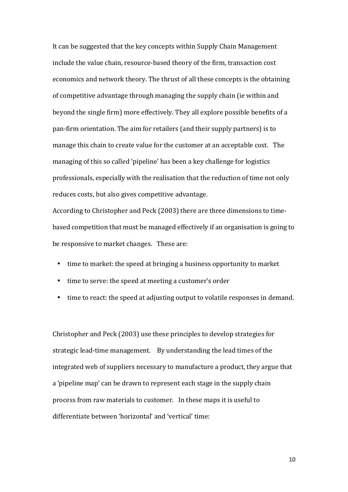It can be suggested that the key concepts within Supply Chain Management include the value chain, resource-based theory of the firm, transaction cost economics and network theory. The thrust of all these concepts is the obtaining of competitive advantage through managing the supply chain (ie within and beyond the single firm) more effectively. They all explore possible benefits of a pan-firm orientation. The aim for retailers (and their supply partners) is to manage this chain to create value for the customer at an acceptable cost. The managing of this so called 'pipeline' has been a key challenge for logistics professionals, especially with the realisation that the reduction of time not only reduces costs, but also gives competitive advantage.

According to Christopher and Peck (2003) there are three dimensions to timebased competition that must be managed effectively if an organisation is going to be responsive to market changes. These are:

- time to market: the speed at bringing a business opportunity to market
- time to serve: the speed at meeting a customer's order
- time to react: the speed at adjusting output to volatile responses in demand.

Christopher and Peck (2003) use these principles to develop strategies for strategic lead-time management. By understanding the lead times of the integrated web of suppliers necessary to manufacture a product, they argue that a 'pipeline map' can be drawn to represent each stage in the supply chain process from raw materials to customer. In these maps it is useful to differentiate between 'horizontal' and 'vertical' time: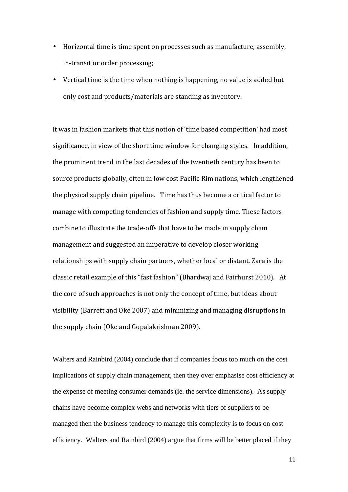- Horizontal time is time spent on processes such as manufacture, assembly, in-transit or order processing;
- Vertical time is the time when nothing is happening, no value is added but only cost and products/materials are standing as inventory.

It was in fashion markets that this notion of 'time based competition' had most significance, in view of the short time window for changing styles. In addition, the prominent trend in the last decades of the twentieth century has been to source products globally, often in low cost Pacific Rim nations, which lengthened the physical supply chain pipeline. Time has thus become a critical factor to manage with competing tendencies of fashion and supply time. These factors combine to illustrate the trade-offs that have to be made in supply chain management and suggested an imperative to develop closer working relationships with supply chain partners, whether local or distant. Zara is the classic retail example of this "fast fashion" (Bhardwaj and Fairhurst 2010). At the core of such approaches is not only the concept of time, but ideas about visibility (Barrett and Oke 2007) and minimizing and managing disruptions in the supply chain (Oke and Gopalakrishnan 2009).

Walters and Rainbird (2004) conclude that if companies focus too much on the cost implications of supply chain management, then they over emphasise cost efficiency at the expense of meeting consumer demands (ie. the service dimensions). As supply chains have become complex webs and networks with tiers of suppliers to be managed then the business tendency to manage this complexity is to focus on cost efficiency. Walters and Rainbird (2004) argue that firms will be better placed if they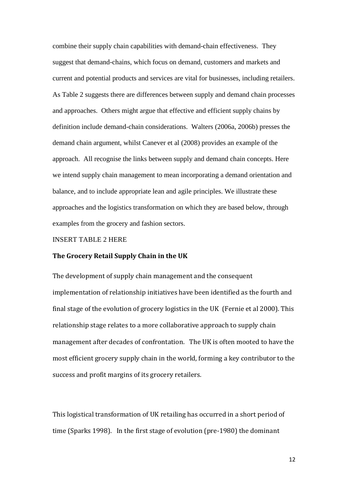combine their supply chain capabilities with demand-chain effectiveness. They suggest that demand-chains, which focus on demand, customers and markets and current and potential products and services are vital for businesses, including retailers. As Table 2 suggests there are differences between supply and demand chain processes and approaches. Others might argue that effective and efficient supply chains by definition include demand-chain considerations. Walters (2006a, 2006b) presses the demand chain argument, whilst Canever et al (2008) provides an example of the approach. All recognise the links between supply and demand chain concepts. Here we intend supply chain management to mean incorporating a demand orientation and balance, and to include appropriate lean and agile principles. We illustrate these approaches and the logistics transformation on which they are based below, through examples from the grocery and fashion sectors.

#### INSERT TABLE 2 HERE

#### **The Grocery Retail Supply Chain in the UK**

The development of supply chain management and the consequent implementation of relationship initiatives have been identified as the fourth and final stage of the evolution of grocery logistics in the UK (Fernie et al 2000). This relationship stage relates to a more collaborative approach to supply chain management after decades of confrontation. The UK is often mooted to have the most efficient grocery supply chain in the world, forming a key contributor to the success and profit margins of its grocery retailers.

This logistical transformation of UK retailing has occurred in a short period of time (Sparks 1998). In the first stage of evolution (pre-1980) the dominant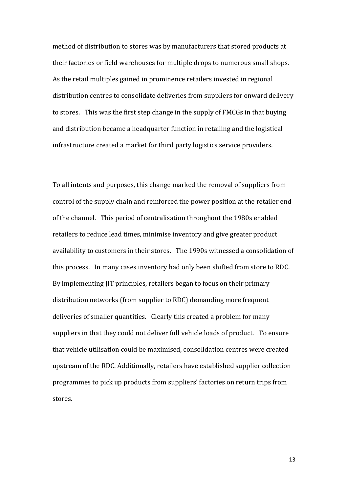method of distribution to stores was by manufacturers that stored products at their factories or field warehouses for multiple drops to numerous small shops. As the retail multiples gained in prominence retailers invested in regional distribution centres to consolidate deliveries from suppliers for onward delivery to stores. This was the first step change in the supply of FMCGs in that buying and distribution became a headquarter function in retailing and the logistical infrastructure created a market for third party logistics service providers.

To all intents and purposes, this change marked the removal of suppliers from control of the supply chain and reinforced the power position at the retailer end of the channel. This period of centralisation throughout the 1980s enabled retailers to reduce lead times, minimise inventory and give greater product availability to customers in their stores. The 1990s witnessed a consolidation of this process. In many cases inventory had only been shifted from store to RDC. By implementing JIT principles, retailers began to focus on their primary distribution networks (from supplier to RDC) demanding more frequent deliveries of smaller quantities. Clearly this created a problem for many suppliers in that they could not deliver full vehicle loads of product. To ensure that vehicle utilisation could be maximised, consolidation centres were created upstream of the RDC. Additionally, retailers have established supplier collection programmes to pick up products from suppliers' factories on return trips from stores.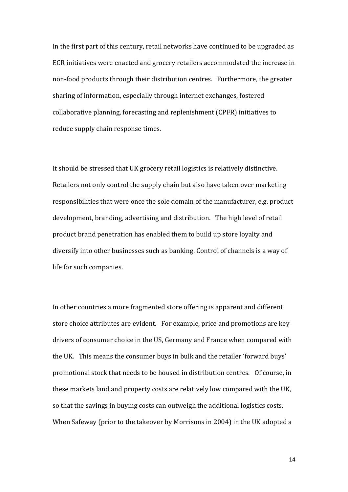In the first part of this century, retail networks have continued to be upgraded as ECR initiatives were enacted and grocery retailers accommodated the increase in non-food products through their distribution centres. Furthermore, the greater sharing of information, especially through internet exchanges, fostered collaborative planning, forecasting and replenishment (CPFR) initiatives to reduce supply chain response times.

It should be stressed that UK grocery retail logistics is relatively distinctive. Retailers not only control the supply chain but also have taken over marketing responsibilities that were once the sole domain of the manufacturer, e.g. product development, branding, advertising and distribution. The high level of retail product brand penetration has enabled them to build up store loyalty and diversify into other businesses such as banking. Control of channels is a way of life for such companies.

In other countries a more fragmented store offering is apparent and different store choice attributes are evident. For example, price and promotions are key drivers of consumer choice in the US, Germany and France when compared with the UK. This means the consumer buys in bulk and the retailer 'forward buys' promotional stock that needs to be housed in distribution centres. Of course, in these markets land and property costs are relatively low compared with the UK, so that the savings in buying costs can outweigh the additional logistics costs. When Safeway (prior to the takeover by Morrisons in 2004) in the UK adopted a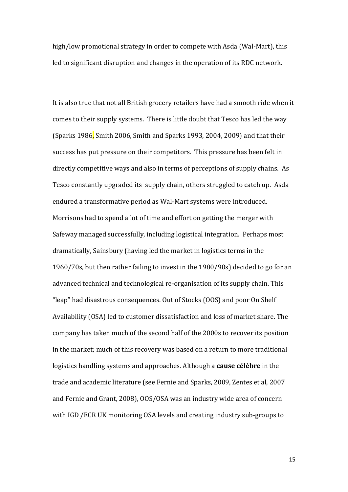high/low promotional strategy in order to compete with Asda (Wal-Mart), this led to significant disruption and changes in the operation of its RDC network.

It is also true that not all British grocery retailers have had a smooth ride when it comes to their supply systems. There is little doubt that Tesco has led the way (Sparks 1986, Smith 2006, Smith and Sparks 1993, 2004, 2009) and that their success has put pressure on their competitors. This pressure has been felt in directly competitive ways and also in terms of perceptions of supply chains. As Tesco constantly upgraded its supply chain, others struggled to catch up. Asda endured a transformative period as Wal-Mart systems were introduced. Morrisons had to spend a lot of time and effort on getting the merger with Safeway managed successfully, including logistical integration. Perhaps most dramatically, Sainsbury (having led the market in logistics terms in the 1960/70s, but then rather failing to invest in the 1980/90s) decided to go for an advanced technical and technological re-organisation of its supply chain. This "leap" had disastrous consequences. Out of Stocks (OOS) and poor On Shelf Availability (OSA) led to customer dissatisfaction and loss of market share. The company has taken much of the second half of the 2000s to recover its position in the market; much of this recovery was based on a return to more traditional logistics handling systems and approaches. Although a **cause célèbre** in the trade and academic literature (see Fernie and Sparks, 2009, Zentes et al, 2007 and Fernie and Grant, 2008), OOS/OSA was an industry wide area of concern with IGD /ECR UK monitoring OSA levels and creating industry sub-groups to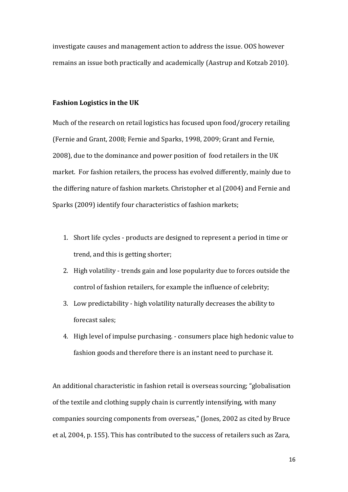investigate causes and management action to address the issue. OOS however remains an issue both practically and academically (Aastrup and Kotzab 2010).

#### **Fashion Logistics in the UK**

Much of the research on retail logistics has focused upon food/grocery retailing (Fernie and Grant, 2008; Fernie and Sparks, 1998, 2009; Grant and Fernie, 2008), due to the dominance and power position of food retailers in the UK market. For fashion retailers, the process has evolved differently, mainly due to the differing nature of fashion markets. Christopher et al (2004) and Fernie and Sparks (2009) identify four characteristics of fashion markets;

- 1. Short life cycles products are designed to represent a period in time or trend, and this is getting shorter;
- 2. High volatility trends gain and lose popularity due to forces outside the control of fashion retailers, for example the influence of celebrity;
- 3. Low predictability high volatility naturally decreases the ability to forecast sales;
- 4. High level of impulse purchasing. consumers place high hedonic value to fashion goods and therefore there is an instant need to purchase it.

An additional characteristic in fashion retail is overseas sourcing; "globalisation of the textile and clothing supply chain is currently intensifying, with many companies sourcing components from overseas," (Jones, 2002 as cited by Bruce et al, 2004, p. 155). This has contributed to the success of retailers such as Zara,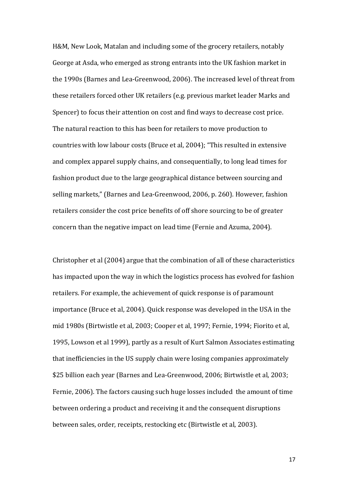H&M, New Look, Matalan and including some of the grocery retailers, notably George at Asda, who emerged as strong entrants into the UK fashion market in the 1990s (Barnes and Lea-Greenwood, 2006). The increased level of threat from these retailers forced other UK retailers (e.g. previous market leader Marks and Spencer) to focus their attention on cost and find ways to decrease cost price. The natural reaction to this has been for retailers to move production to countries with low labour costs (Bruce et al, 2004); "This resulted in extensive and complex apparel supply chains, and consequentially, to long lead times for fashion product due to the large geographical distance between sourcing and selling markets," (Barnes and Lea-Greenwood, 2006, p. 260). However, fashion retailers consider the cost price benefits of off shore sourcing to be of greater concern than the negative impact on lead time (Fernie and Azuma, 2004).

Christopher et al (2004) argue that the combination of all of these characteristics has impacted upon the way in which the logistics process has evolved for fashion retailers. For example, the achievement of quick response is of paramount importance (Bruce et al, 2004). Quick response was developed in the USA in the mid 1980s (Birtwistle et al, 2003; Cooper et al, 1997; Fernie, 1994; Fiorito et al, 1995, Lowson et al 1999), partly as a result of Kurt Salmon Associates estimating that inefficiencies in the US supply chain were losing companies approximately \$25 billion each year (Barnes and Lea-Greenwood, 2006; Birtwistle et al, 2003; Fernie, 2006). The factors causing such huge losses included the amount of time between ordering a product and receiving it and the consequent disruptions between sales, order, receipts, restocking etc (Birtwistle et al, 2003).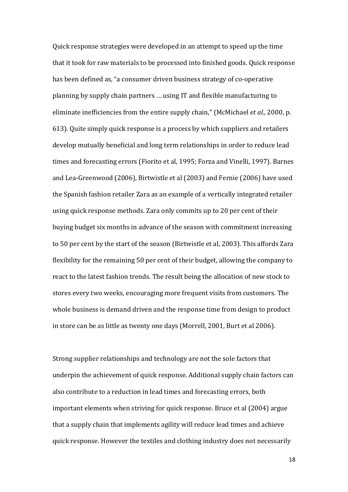Quick response strategies were developed in an attempt to speed up the time that it took for raw materials to be processed into finished goods. Quick response has been defined as, "a consumer driven business strategy of co-operative planning by supply chain partners … using IT and flexible manufacturing to eliminate inefficiencies from the entire supply chain," (McMichael *et al.,* 2000, p. 613). Quite simply quick response is a process by which suppliers and retailers develop mutually beneficial and long term relationships in order to reduce lead times and forecasting errors (Fiorito et al, 1995; Forza and Vinelli, 1997). Barnes and Lea-Greenwood (2006), Birtwistle et al (2003) and Fernie (2006) have used the Spanish fashion retailer Zara as an example of a vertically integrated retailer using quick response methods. Zara only commits up to 20 per cent of their buying budget six months in advance of the season with commitment increasing to 50 per cent by the start of the season (Birtwistle et al, 2003). This affords Zara flexibility for the remaining 50 per cent of their budget, allowing the company to react to the latest fashion trends. The result being the allocation of new stock to stores every two weeks, encouraging more frequent visits from customers. The whole business is demand driven and the response time from design to product in store can be as little as twenty one days (Morrell, 2001, Burt et al 2006).

Strong supplier relationships and technology are not the sole factors that underpin the achievement of quick response. Additional supply chain factors can also contribute to a reduction in lead times and forecasting errors, both important elements when striving for quick response. Bruce et al (2004) argue that a supply chain that implements agility will reduce lead times and achieve quick response. However the textiles and clothing industry does not necessarily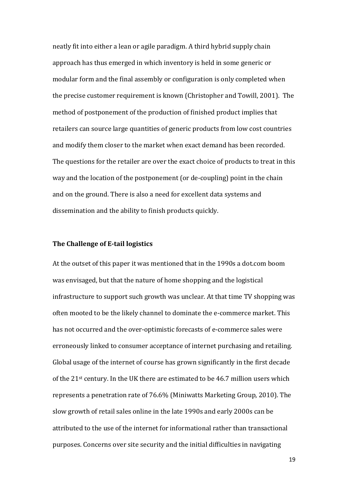neatly fit into either a lean or agile paradigm. A third hybrid supply chain approach has thus emerged in which inventory is held in some generic or modular form and the final assembly or configuration is only completed when the precise customer requirement is known (Christopher and Towill, 2001). The method of postponement of the production of finished product implies that retailers can source large quantities of generic products from low cost countries and modify them closer to the market when exact demand has been recorded. The questions for the retailer are over the exact choice of products to treat in this way and the location of the postponement (or de-coupling) point in the chain and on the ground. There is also a need for excellent data systems and dissemination and the ability to finish products quickly.

#### **The Challenge of E-tail logistics**

At the outset of this paper it was mentioned that in the 1990s a dot.com boom was envisaged, but that the nature of home shopping and the logistical infrastructure to support such growth was unclear. At that time TV shopping was often mooted to be the likely channel to dominate the e-commerce market. This has not occurred and the over-optimistic forecasts of e-commerce sales were erroneously linked to consumer acceptance of internet purchasing and retailing. Global usage of the internet of course has grown significantly in the first decade of the  $21<sup>st</sup>$  century. In the UK there are estimated to be 46.7 million users which represents a penetration rate of 76.6% (Miniwatts Marketing Group, 2010). The slow growth of retail sales online in the late 1990s and early 2000s can be attributed to the use of the internet for informational rather than transactional purposes. Concerns over site security and the initial difficulties in navigating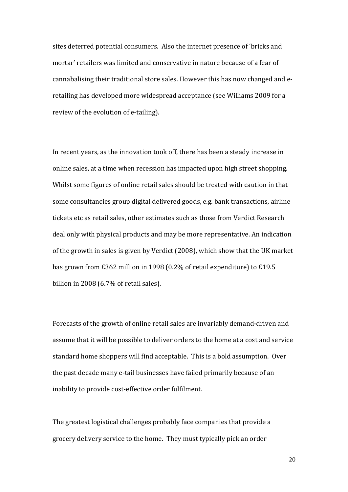sites deterred potential consumers. Also the internet presence of 'bricks and mortar' retailers was limited and conservative in nature because of a fear of cannabalising their traditional store sales. However this has now changed and eretailing has developed more widespread acceptance (see Williams 2009 for a review of the evolution of e-tailing).

In recent years, as the innovation took off, there has been a steady increase in online sales, at a time when recession has impacted upon high street shopping. Whilst some figures of online retail sales should be treated with caution in that some consultancies group digital delivered goods, e.g. bank transactions, airline tickets etc as retail sales, other estimates such as those from Verdict Research deal only with physical products and may be more representative. An indication of the growth in sales is given by Verdict (2008), which show that the UK market has grown from £362 million in 1998 (0.2% of retail expenditure) to £19.5 billion in 2008 (6.7% of retail sales).

Forecasts of the growth of online retail sales are invariably demand-driven and assume that it will be possible to deliver orders to the home at a cost and service standard home shoppers will find acceptable. This is a bold assumption. Over the past decade many e-tail businesses have failed primarily because of an inability to provide cost-effective order fulfilment.

The greatest logistical challenges probably face companies that provide a grocery delivery service to the home. They must typically pick an order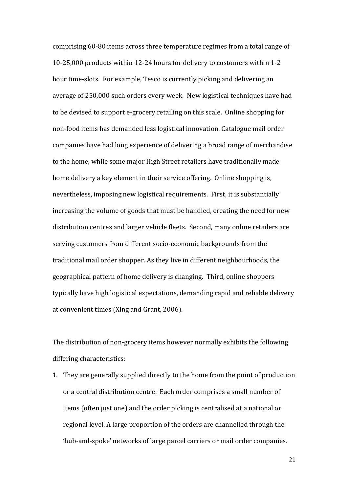comprising 60-80 items across three temperature regimes from a total range of 10-25,000 products within 12-24 hours for delivery to customers within 1-2 hour time-slots. For example, Tesco is currently picking and delivering an average of 250,000 such orders every week. New logistical techniques have had to be devised to support e-grocery retailing on this scale. Online shopping for non-food items has demanded less logistical innovation. Catalogue mail order companies have had long experience of delivering a broad range of merchandise to the home, while some major High Street retailers have traditionally made home delivery a key element in their service offering. Online shopping is, nevertheless, imposing new logistical requirements. First, it is substantially increasing the volume of goods that must be handled, creating the need for new distribution centres and larger vehicle fleets. Second, many online retailers are serving customers from different socio-economic backgrounds from the traditional mail order shopper. As they live in different neighbourhoods, the geographical pattern of home delivery is changing. Third, online shoppers typically have high logistical expectations, demanding rapid and reliable delivery at convenient times (Xing and Grant, 2006).

The distribution of non-grocery items however normally exhibits the following differing characteristics:

1. They are generally supplied directly to the home from the point of production or a central distribution centre. Each order comprises a small number of items (often just one) and the order picking is centralised at a national or regional level. A large proportion of the orders are channelled through the 'hub-and-spoke' networks of large parcel carriers or mail order companies.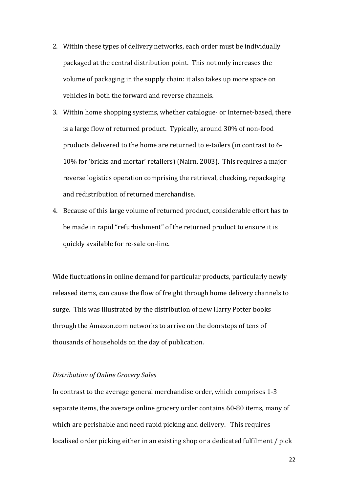- 2. Within these types of delivery networks, each order must be individually packaged at the central distribution point. This not only increases the volume of packaging in the supply chain: it also takes up more space on vehicles in both the forward and reverse channels.
- 3. Within home shopping systems, whether catalogue- or Internet-based, there is a large flow of returned product. Typically, around 30% of non-food products delivered to the home are returned to e-tailers (in contrast to 6- 10% for 'bricks and mortar' retailers) (Nairn, 2003). This requires a major reverse logistics operation comprising the retrieval, checking, repackaging and redistribution of returned merchandise.
- 4. Because of this large volume of returned product, considerable effort has to be made in rapid "refurbishment" of the returned product to ensure it is quickly available for re-sale on-line.

Wide fluctuations in online demand for particular products, particularly newly released items, can cause the flow of freight through home delivery channels to surge. This was illustrated by the distribution of new Harry Potter books through the Amazon.com networks to arrive on the doorsteps of tens of thousands of households on the day of publication.

#### *Distribution of Online Grocery Sales*

In contrast to the average general merchandise order, which comprises 1-3 separate items, the average online grocery order contains 60-80 items, many of which are perishable and need rapid picking and delivery. This requires localised order picking either in an existing shop or a dedicated fulfilment / pick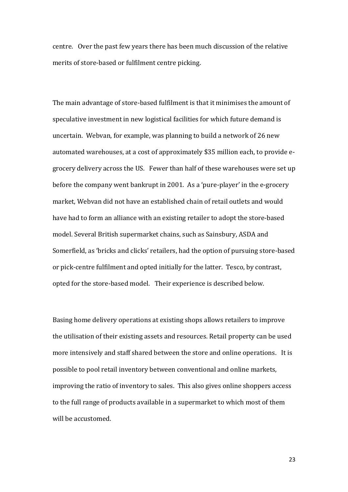centre. Over the past few years there has been much discussion of the relative merits of store-based or fulfilment centre picking.

The main advantage of store-based fulfilment is that it minimises the amount of speculative investment in new logistical facilities for which future demand is uncertain. Webvan, for example, was planning to build a network of 26 new automated warehouses, at a cost of approximately \$35 million each, to provide egrocery delivery across the US. Fewer than half of these warehouses were set up before the company went bankrupt in 2001. As a 'pure-player' in the e-grocery market, Webvan did not have an established chain of retail outlets and would have had to form an alliance with an existing retailer to adopt the store-based model. Several British supermarket chains, such as Sainsbury, ASDA and Somerfield, as 'bricks and clicks' retailers, had the option of pursuing store-based or pick-centre fulfilment and opted initially for the latter. Tesco, by contrast, opted for the store-based model. Their experience is described below.

Basing home delivery operations at existing shops allows retailers to improve the utilisation of their existing assets and resources. Retail property can be used more intensively and staff shared between the store and online operations. It is possible to pool retail inventory between conventional and online markets, improving the ratio of inventory to sales. This also gives online shoppers access to the full range of products available in a supermarket to which most of them will be accustomed.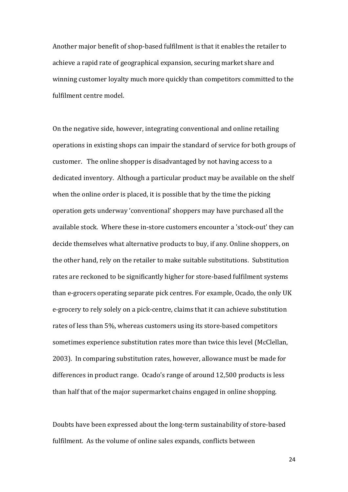Another major benefit of shop-based fulfilment is that it enables the retailer to achieve a rapid rate of geographical expansion, securing market share and winning customer loyalty much more quickly than competitors committed to the fulfilment centre model.

On the negative side, however, integrating conventional and online retailing operations in existing shops can impair the standard of service for both groups of customer. The online shopper is disadvantaged by not having access to a dedicated inventory. Although a particular product may be available on the shelf when the online order is placed, it is possible that by the time the picking operation gets underway 'conventional' shoppers may have purchased all the available stock. Where these in-store customers encounter a 'stock-out' they can decide themselves what alternative products to buy, if any. Online shoppers, on the other hand, rely on the retailer to make suitable substitutions. Substitution rates are reckoned to be significantly higher for store-based fulfilment systems than e-grocers operating separate pick centres. For example, Ocado, the only UK e-grocery to rely solely on a pick-centre, claims that it can achieve substitution rates of less than 5%, whereas customers using its store-based competitors sometimes experience substitution rates more than twice this level (McClellan, 2003). In comparing substitution rates, however, allowance must be made for differences in product range. Ocado's range of around 12,500 products is less than half that of the major supermarket chains engaged in online shopping.

Doubts have been expressed about the long-term sustainability of store-based fulfilment. As the volume of online sales expands, conflicts between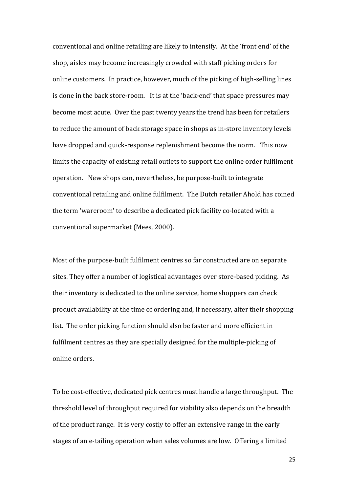conventional and online retailing are likely to intensify. At the 'front end' of the shop, aisles may become increasingly crowded with staff picking orders for online customers. In practice, however, much of the picking of high-selling lines is done in the back store-room. It is at the 'back-end' that space pressures may become most acute. Over the past twenty years the trend has been for retailers to reduce the amount of back storage space in shops as in-store inventory levels have dropped and quick-response replenishment become the norm. This now limits the capacity of existing retail outlets to support the online order fulfilment operation. New shops can, nevertheless, be purpose-built to integrate conventional retailing and online fulfilment. The Dutch retailer Ahold has coined the term 'wareroom' to describe a dedicated pick facility co-located with a conventional supermarket (Mees, 2000).

Most of the purpose-built fulfilment centres so far constructed are on separate sites. They offer a number of logistical advantages over store-based picking. As their inventory is dedicated to the online service, home shoppers can check product availability at the time of ordering and, if necessary, alter their shopping list. The order picking function should also be faster and more efficient in fulfilment centres as they are specially designed for the multiple-picking of online orders.

To be cost-effective, dedicated pick centres must handle a large throughput. The threshold level of throughput required for viability also depends on the breadth of the product range. It is very costly to offer an extensive range in the early stages of an e-tailing operation when sales volumes are low. Offering a limited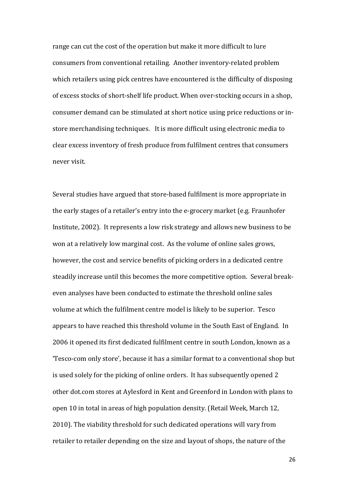range can cut the cost of the operation but make it more difficult to lure consumers from conventional retailing. Another inventory-related problem which retailers using pick centres have encountered is the difficulty of disposing of excess stocks of short-shelf life product. When over-stocking occurs in a shop, consumer demand can be stimulated at short notice using price reductions or instore merchandising techniques. It is more difficult using electronic media to clear excess inventory of fresh produce from fulfilment centres that consumers never visit.

Several studies have argued that store-based fulfilment is more appropriate in the early stages of a retailer's entry into the e-grocery market (e.g. Fraunhofer Institute, 2002). It represents a low risk strategy and allows new business to be won at a relatively low marginal cost. As the volume of online sales grows, however, the cost and service benefits of picking orders in a dedicated centre steadily increase until this becomes the more competitive option. Several breakeven analyses have been conducted to estimate the threshold online sales volume at which the fulfilment centre model is likely to be superior. Tesco appears to have reached this threshold volume in the South East of England. In 2006 it opened its first dedicated fulfilment centre in south London, known as a 'Tesco-com only store', because it has a similar format to a conventional shop but is used solely for the picking of online orders. It has subsequently opened 2 other dot.com stores at Aylesford in Kent and Greenford in London with plans to open 10 in total in areas of high population density. (Retail Week, March 12, 2010). The viability threshold for such dedicated operations will vary from retailer to retailer depending on the size and layout of shops, the nature of the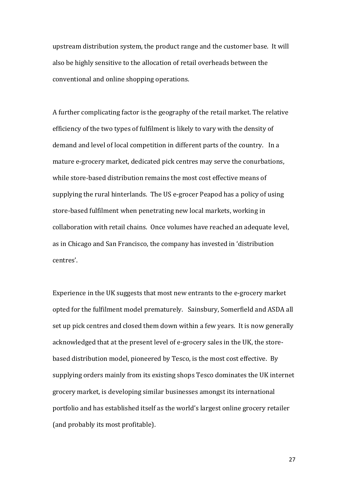upstream distribution system, the product range and the customer base. It will also be highly sensitive to the allocation of retail overheads between the conventional and online shopping operations.

A further complicating factor is the geography of the retail market. The relative efficiency of the two types of fulfilment is likely to vary with the density of demand and level of local competition in different parts of the country. In a mature e-grocery market, dedicated pick centres may serve the conurbations, while store-based distribution remains the most cost effective means of supplying the rural hinterlands. The US e-grocer Peapod has a policy of using store-based fulfilment when penetrating new local markets, working in collaboration with retail chains. Once volumes have reached an adequate level, as in Chicago and San Francisco, the company has invested in 'distribution centres'.

Experience in the UK suggests that most new entrants to the e-grocery market opted for the fulfilment model prematurely. Sainsbury, Somerfield and ASDA all set up pick centres and closed them down within a few years. It is now generally acknowledged that at the present level of e-grocery sales in the UK, the storebased distribution model, pioneered by Tesco, is the most cost effective. By supplying orders mainly from its existing shops Tesco dominates the UK internet grocery market, is developing similar businesses amongst its international portfolio and has established itself as the world's largest online grocery retailer (and probably its most profitable).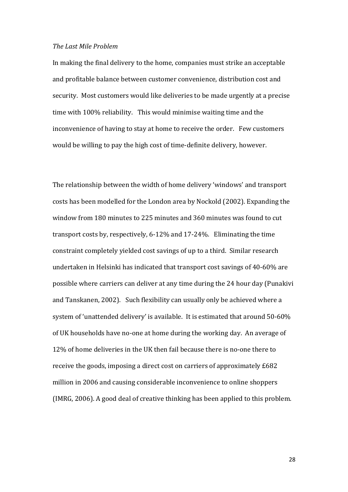#### *The Last Mile Problem*

In making the final delivery to the home, companies must strike an acceptable and profitable balance between customer convenience, distribution cost and security. Most customers would like deliveries to be made urgently at a precise time with 100% reliability. This would minimise waiting time and the inconvenience of having to stay at home to receive the order. Few customers would be willing to pay the high cost of time-definite delivery, however.

The relationship between the width of home delivery 'windows' and transport costs has been modelled for the London area by Nockold (2002). Expanding the window from 180 minutes to 225 minutes and 360 minutes was found to cut transport costs by, respectively, 6-12% and 17-24%. Eliminating the time constraint completely yielded cost savings of up to a third. Similar research undertaken in Helsinki has indicated that transport cost savings of 40-60% are possible where carriers can deliver at any time during the 24 hour day (Punakivi and Tanskanen, 2002). Such flexibility can usually only be achieved where a system of 'unattended delivery' is available. It is estimated that around 50-60% of UK households have no-one at home during the working day. An average of 12% of home deliveries in the UK then fail because there is no-one there to receive the goods, imposing a direct cost on carriers of approximately £682 million in 2006 and causing considerable inconvenience to online shoppers (IMRG, 2006). A good deal of creative thinking has been applied to this problem.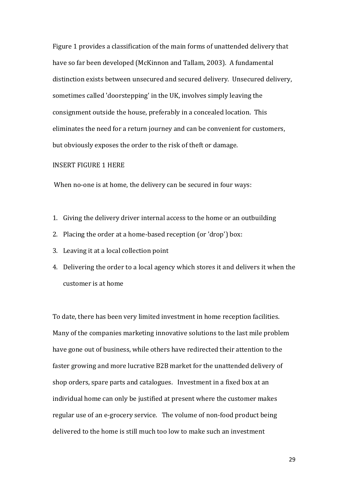Figure 1 provides a classification of the main forms of unattended delivery that have so far been developed (McKinnon and Tallam, 2003). A fundamental distinction exists between unsecured and secured delivery. Unsecured delivery, sometimes called 'doorstepping' in the UK, involves simply leaving the consignment outside the house, preferably in a concealed location. This eliminates the need for a return journey and can be convenient for customers, but obviously exposes the order to the risk of theft or damage.

#### INSERT FIGURE 1 HERE

When no-one is at home, the delivery can be secured in four ways:

- 1. Giving the delivery driver internal access to the home or an outbuilding
- 2. Placing the order at a home-based reception (or 'drop') box:
- 3. Leaving it at a local collection point
- 4. Delivering the order to a local agency which stores it and delivers it when the customer is at home

To date, there has been very limited investment in home reception facilities. Many of the companies marketing innovative solutions to the last mile problem have gone out of business, while others have redirected their attention to the faster growing and more lucrative B2B market for the unattended delivery of shop orders, spare parts and catalogues. Investment in a fixed box at an individual home can only be justified at present where the customer makes regular use of an e-grocery service. The volume of non-food product being delivered to the home is still much too low to make such an investment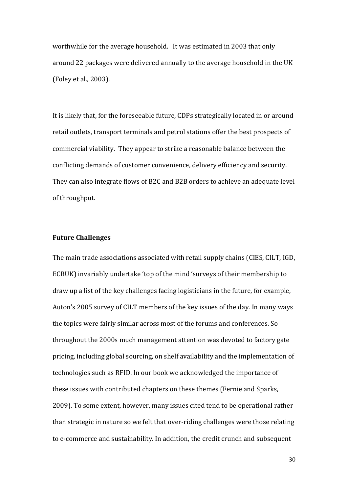worthwhile for the average household. It was estimated in 2003 that only around 22 packages were delivered annually to the average household in the UK (Foley et al., 2003).

It is likely that, for the foreseeable future, CDPs strategically located in or around retail outlets, transport terminals and petrol stations offer the best prospects of commercial viability. They appear to strike a reasonable balance between the conflicting demands of customer convenience, delivery efficiency and security. They can also integrate flows of B2C and B2B orders to achieve an adequate level of throughput.

#### **Future Challenges**

The main trade associations associated with retail supply chains (CIES, CILT, IGD, ECRUK) invariably undertake 'top of the mind 'surveys of their membership to draw up a list of the key challenges facing logisticians in the future, for example, Auton's 2005 survey of CILT members of the key issues of the day. In many ways the topics were fairly similar across most of the forums and conferences. So throughout the 2000s much management attention was devoted to factory gate pricing, including global sourcing, on shelf availability and the implementation of technologies such as RFID. In our book we acknowledged the importance of these issues with contributed chapters on these themes (Fernie and Sparks, 2009). To some extent, however, many issues cited tend to be operational rather than strategic in nature so we felt that over-riding challenges were those relating to e-commerce and sustainability. In addition, the credit crunch and subsequent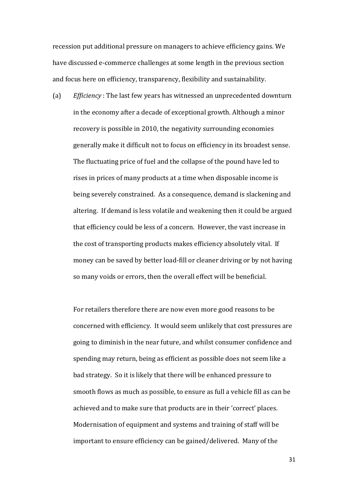recession put additional pressure on managers to achieve efficiency gains. We have discussed e-commerce challenges at some length in the previous section and focus here on efficiency, transparency, flexibility and sustainability.

(a) *Efficiency* : The last few years has witnessed an unprecedented downturn in the economy after a decade of exceptional growth. Although a minor recovery is possible in 2010, the negativity surrounding economies generally make it difficult not to focus on efficiency in its broadest sense. The fluctuating price of fuel and the collapse of the pound have led to rises in prices of many products at a time when disposable income is being severely constrained. As a consequence, demand is slackening and altering. If demand is less volatile and weakening then it could be argued that efficiency could be less of a concern. However, the vast increase in the cost of transporting products makes efficiency absolutely vital. If money can be saved by better load-fill or cleaner driving or by not having so many voids or errors, then the overall effect will be beneficial.

 For retailers therefore there are now even more good reasons to be concerned with efficiency. It would seem unlikely that cost pressures are going to diminish in the near future, and whilst consumer confidence and spending may return, being as efficient as possible does not seem like a bad strategy. So it is likely that there will be enhanced pressure to smooth flows as much as possible, to ensure as full a vehicle fill as can be achieved and to make sure that products are in their 'correct' places. Modernisation of equipment and systems and training of staff will be important to ensure efficiency can be gained/delivered. Many of the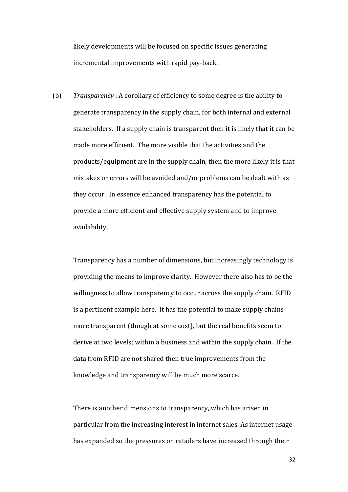likely developments will be focused on specific issues generating incremental improvements with rapid pay-back.

(b) *Transparency* : A corollary of efficiency to some degree is the ability to generate transparency in the supply chain, for both internal and external stakeholders. If a supply chain is transparent then it is likely that it can be made more efficient. The more visible that the activities and the products/equipment are in the supply chain, then the more likely it is that mistakes or errors will be avoided and/or problems can be dealt with as they occur. In essence enhanced transparency has the potential to provide a more efficient and effective supply system and to improve availability.

 Transparency has a number of dimensions, but increasingly technology is providing the means to improve clarity. However there also has to be the willingness to allow transparency to occur across the supply chain. RFID is a pertinent example here. It has the potential to make supply chains more transparent (though at some cost), but the real benefits seem to derive at two levels; within a business and within the supply chain. If the data from RFID are not shared then true improvements from the knowledge and transparency will be much more scarce.

 There is another dimensions to transparency, which has arisen in particular from the increasing interest in internet sales. As internet usage has expanded so the pressures on retailers have increased through their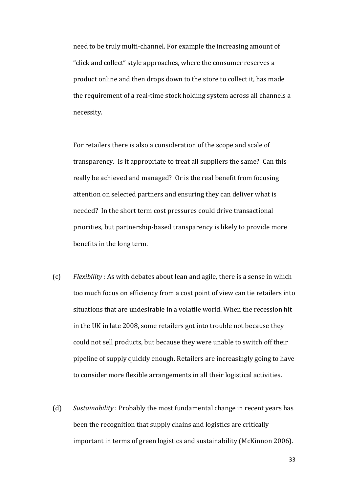need to be truly multi-channel. For example the increasing amount of "click and collect" style approaches, where the consumer reserves a product online and then drops down to the store to collect it, has made the requirement of a real-time stock holding system across all channels a necessity.

 For retailers there is also a consideration of the scope and scale of transparency. Is it appropriate to treat all suppliers the same? Can this really be achieved and managed? Or is the real benefit from focusing attention on selected partners and ensuring they can deliver what is needed? In the short term cost pressures could drive transactional priorities, but partnership-based transparency is likely to provide more benefits in the long term.

- (c) *Flexibility :* As with debates about lean and agile, there is a sense in which too much focus on efficiency from a cost point of view can tie retailers into situations that are undesirable in a volatile world. When the recession hit in the UK in late 2008, some retailers got into trouble not because they could not sell products, but because they were unable to switch off their pipeline of supply quickly enough. Retailers are increasingly going to have to consider more flexible arrangements in all their logistical activities.
- (d) *Sustainability* : Probably the most fundamental change in recent years has been the recognition that supply chains and logistics are critically important in terms of green logistics and sustainability (McKinnon 2006).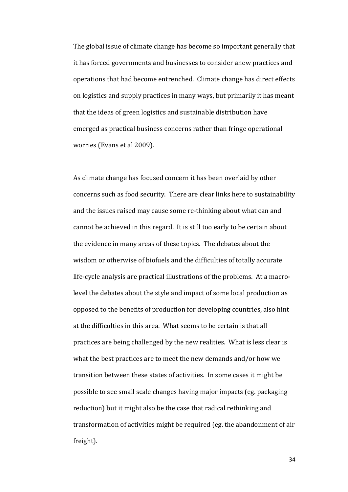The global issue of climate change has become so important generally that it has forced governments and businesses to consider anew practices and operations that had become entrenched. Climate change has direct effects on logistics and supply practices in many ways, but primarily it has meant that the ideas of green logistics and sustainable distribution have emerged as practical business concerns rather than fringe operational worries (Evans et al 2009).

 As climate change has focused concern it has been overlaid by other concerns such as food security. There are clear links here to sustainability and the issues raised may cause some re-thinking about what can and cannot be achieved in this regard. It is still too early to be certain about the evidence in many areas of these topics. The debates about the wisdom or otherwise of biofuels and the difficulties of totally accurate life-cycle analysis are practical illustrations of the problems. At a macrolevel the debates about the style and impact of some local production as opposed to the benefits of production for developing countries, also hint at the difficulties in this area. What seems to be certain is that all practices are being challenged by the new realities. What is less clear is what the best practices are to meet the new demands and/or how we transition between these states of activities. In some cases it might be possible to see small scale changes having major impacts (eg. packaging reduction) but it might also be the case that radical rethinking and transformation of activities might be required (eg. the abandonment of air freight).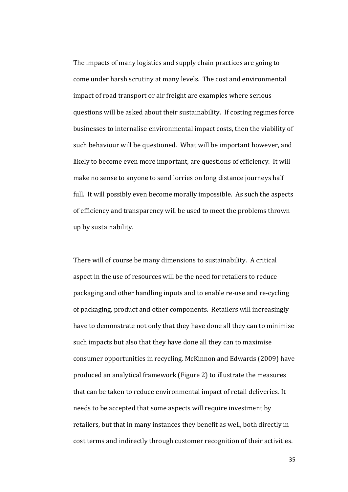The impacts of many logistics and supply chain practices are going to come under harsh scrutiny at many levels. The cost and environmental impact of road transport or air freight are examples where serious questions will be asked about their sustainability. If costing regimes force businesses to internalise environmental impact costs, then the viability of such behaviour will be questioned. What will be important however, and likely to become even more important, are questions of efficiency. It will make no sense to anyone to send lorries on long distance journeys half full. It will possibly even become morally impossible. As such the aspects of efficiency and transparency will be used to meet the problems thrown up by sustainability.

There will of course be many dimensions to sustainability. A critical aspect in the use of resources will be the need for retailers to reduce packaging and other handling inputs and to enable re-use and re-cycling of packaging, product and other components. Retailers will increasingly have to demonstrate not only that they have done all they can to minimise such impacts but also that they have done all they can to maximise consumer opportunities in recycling. McKinnon and Edwards (2009) have produced an analytical framework (Figure 2) to illustrate the measures that can be taken to reduce environmental impact of retail deliveries. It needs to be accepted that some aspects will require investment by retailers, but that in many instances they benefit as well, both directly in cost terms and indirectly through customer recognition of their activities.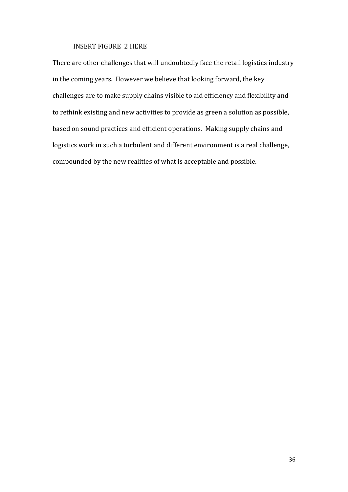#### INSERT FIGURE 2 HERE

There are other challenges that will undoubtedly face the retail logistics industry in the coming years. However we believe that looking forward, the key challenges are to make supply chains visible to aid efficiency and flexibility and to rethink existing and new activities to provide as green a solution as possible, based on sound practices and efficient operations. Making supply chains and logistics work in such a turbulent and different environment is a real challenge, compounded by the new realities of what is acceptable and possible.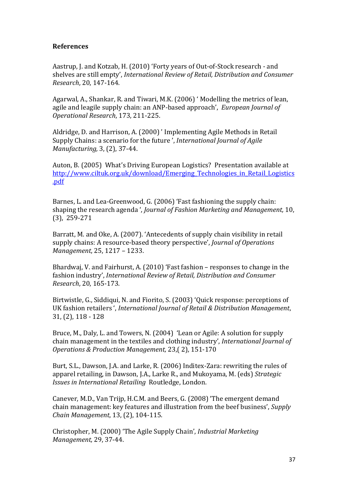#### **References**

Aastrup, J. and Kotzab, H. (2010) 'Forty years of Out-of-Stock research - and shelves are still empty', *International Review of Retail, Distribution and Consumer Research*, 20, 147-164.

Agarwal, A., Shankar, R. and Tiwari, M.K. (2006) ' Modelling the metrics of lean, agile and leagile supply chain: an ANP-based approach', *European Journal of Operational Research*, 173, 211-225.

Aldridge, D. and Harrison, A. (2000) ' Implementing Agile Methods in Retail Supply Chains: a scenario for the future ', *International Journal of Agile Manufacturing,* 3, (2), 37-44.

Auton, B. (2005) What's Driving European Logistics? Presentation available at http://www.ciltuk.org.uk/download/Emerging\_Technologies\_in\_Retail\_Logistics .pdf

Barnes, L. and Lea-Greenwood, G. (2006) 'Fast fashioning the supply chain: shaping the research agenda ', *Journal of Fashion Marketing and Management,* 10, (3), 259-271

Barratt, M. and Oke, A. (2007). 'Antecedents of supply chain visibility in retail supply chains: A resource-based theory perspective', *Journal of Operations Management*, 25, 1217 – 1233.

Bhardwaj, V. and Fairhurst, A. (2010) 'Fast fashion – responses to change in the fashion industry', *International Review of Retail, Distribution and Consumer Research*, 20, 165-173.

Birtwistle, G., Siddiqui, N. and Fiorito, S. (2003) 'Quick response: perceptions of UK fashion retailers ', *International Journal of Retail & Distribution Management*, 31, (2), 118 - 128

Bruce, M., Daly, L. and Towers, N. (2004) 'Lean or Agile: A solution for supply chain management in the textiles and clothing industry', *International Journal of Operations & Production Management,* 23,( 2), 151-170

Burt, S.L., Dawson, J.A. and Larke, R. (2006) Inditex-Zara: rewriting the rules of apparel retailing, in Dawson, J.A., Larke R., and Mukoyama, M. (eds) *Strategic Issues in International Retailing* Routledge, London.

Canever, M.D., Van Trijp, H.C.M. and Beers, G. (2008) 'The emergent demand chain management: key features and illustration from the beef business', *Supply Chain Management*, 13, (2), 104-115.

Christopher, M. (2000) 'The Agile Supply Chain', *Industrial Marketing Management,* 29, 37-44.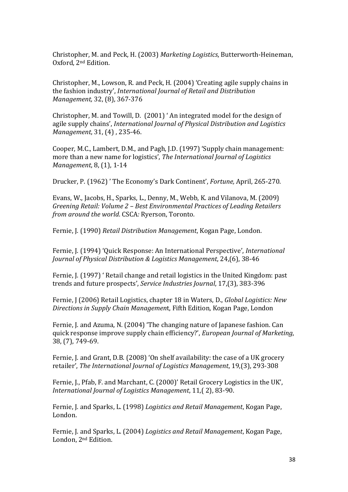Christopher, M. and Peck, H. (2003) *Marketing Logistics*, Butterworth-Heineman, Oxford, 2nd Edition.

Christopher, M., Lowson, R. and Peck, H. (2004) 'Creating agile supply chains in the fashion industry', *International Journal of Retail and Distribution Management,* 32, (8), 367-376

Christopher, M. and Towill, D. (2001) ' An integrated model for the design of agile supply chains', *International Journal of Physical Distribution and Logistics Management*, 31, (4) , 235-46.

Cooper, M.C., Lambert, D.M., and Pagh, J.D. (1997) 'Supply chain management: more than a new name for logistics', *The International Journal of Logistics Management*, 8, (1), 1-14

Drucker, P. (1962) ' The Economy's Dark Continent', *Fortune,* April, 265-270.

Evans, W., Jacobs, H., Sparks, L., Denny, M., Webb, K. and Vilanova, M. (2009) *Greening Retail: Volume 2 – Best Environmental Practices of Leading Retailers from around the world*. CSCA*:* Ryerson, Toronto*.*

Fernie, J. (1990) *Retail Distribution Management*, Kogan Page, London.

Fernie, J. (1994) 'Quick Response: An International Perspective', *International Journal of Physical Distribution & Logistics Management*, 24,(6), 38-46

Fernie, J. (1997) ' Retail change and retail logistics in the United Kingdom: past trends and future prospects', *Service Industries Journal*, 17,(3), 383-396

Fernie, J (2006) Retail Logistics, chapter 18 in Waters, D., *Global Logistics: New Directions in Supply Chain Managemen*t, Fifth Edition, Kogan Page, London

Fernie, J. and Azuma, N. (2004) 'The changing nature of Japanese fashion. Can quick response improve supply chain efficiency?', *European Journal of Marketing*, 38, (7), 749-69.

Fernie, J. and Grant, D.B. (2008) 'On shelf availability: the case of a UK grocery retailer', *The International Journal of Logistics Management*, 19,(3), 293-308

Fernie, J., Pfab, F. and Marchant, C. (2000)' Retail Grocery Logistics in the UK', *International Journal of Logistics Management*, 11,( 2), 83-90.

Fernie, J. and Sparks, L. (1998) *Logistics and Retail Management*, Kogan Page, London.

Fernie, J. and Sparks, L. (2004) *Logistics and Retail Management*, Kogan Page, London, 2nd Edition.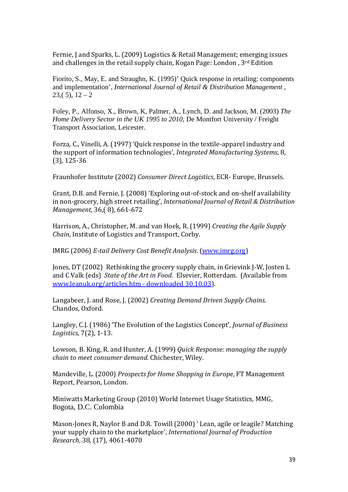Fernie, J and Sparks, L. (2009) Logistics & Retail Management; emerging issues and challenges in the retail supply chain, Kogan Page: London , 3rd Edition

Fiorito, S., May, E. and Straughn, K. (1995)' Quick response in retailing: components and implementation', *International Journal of Retail & Distribution Management* ,  $23(5), 12-2$ 

Foley, P., Alfonso, X., Brown, K, Palmer, A., Lynch, D. and Jackson, M. (2003) *The Home Delivery Sector in the UK 1995 to 2010*, De Montfort University / Freight Transport Association, Leicester.

Forza, C., Vinelli, A. (1997) 'Quick response in the textile-apparel industry and the support of information technologies', *Integrated Manufacturing Systems*, 8, (3), 125-36

Fraunhofer Institute (2002) *Consumer Direct Logistics*, ECR- Europe, Brussels.

Grant, D.B. and Fernie, J. (2008) 'Exploring out-of-stock and on-shelf availability in non-grocery, high street retailing', *International Journal of Retail & Distribution Management*, 36,( 8), 661-672

Harrison, A., Christopher, M. and van Hoek, R. (1999) *Creating the Agile Supply Chain*, Institute of Logistics and Transport, Corby.

IMRG (2006) *E-tail Delivery Cost Benefit Analysis*. (www.imrg.org)

Jones, DT (2002) Rethinking the grocery supply chain, in Grievink J-W, Josten L and C Valk (eds) *State of the Art in Food*. Elsevier, Rotterdam. (Available from www.leanuk.org/articles.htm - downloaded 30.10.03).

Langabeer, J. and Rose, J. (2002) *Creating Demand Driven Supply Chains*. Chandos, Oxford.

Langley, C.J. (1986) 'The Evolution of the Logistics Concept', *Journal of Business Logistics,* 7(2), 1-13.

Lowson, B. King, R. and Hunter, A. (1999) *Quick Response: managing the supply chain to meet consumer demand.* Chichester, Wiley.

Mandeville, L. (2000) *Prospects for Home Shopping in Europe*, FT Management Report, Pearson, London.

Miniwatts Marketing Group (2010) World Internet Usage Statistics, MMG, Bogota, D.C. Colombia

Mason-Jones R, Naylor B and D.R. Towill (2000) ' Lean, agile or leagile? Matching your supply chain to the marketplace', *International Journal of Production Research*, 38, (17), 4061-4070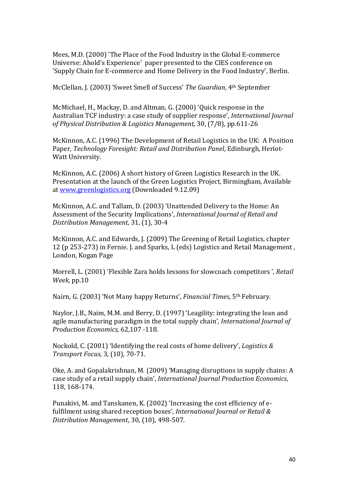Mees, M.D. (2000) 'The Place of the Food Industry in the Global E-commerce Universe: Ahold's Experience' paper presented to the CIES conference on 'Supply Chain for E-commerce and Home Delivery in the Food Industry', Berlin.

McClellan, J. (2003) 'Sweet Smell of Success' *The Guardian*, 4th September

McMichael, H., Mackay, D. and Altman, G. (2000) 'Quick response in the Australian TCF industry: a case study of supplier response', *International Journal of Physical Distribution & Logistics Management,* 30, (7/8), pp.611-26

McKinnon, A.C. (1996) The Development of Retail Logistics in the UK: A Position Paper, *Technology Foresight: Retail and Distribution Panel*, Edinburgh, Heriot-Watt University.

McKinnon, A.C. (2006) A short history of Green Logistics Research in the UK. Presentation at the launch of the Green Logistics Project, Birmingham, Available at www.greenlogistics.org (Downloaded 9.12.09)

McKinnon, A.C. and Tallam, D. (2003) 'Unattended Delivery to the Home: An Assessment of the Security Implications', *International Journal of Retail and Distribution Management,* 31, (1), 30-4

McKinnon, A.C. and Edwards, J. (2009) The Greening of Retail Logistics, chapter 12 (p 253-273) in Fernie. J. and Sparks, L (eds) Logistics and Retail Management , London, Kogan Page

Morrell, L. (2001) 'Flexible Zara holds lessons for slowcoach competitors ', *Retail Week,* pp.10

Nairn, G. (2003) 'Not Many happy Returns', *Financial Times*, 5th February.

Naylor, J.B., Naim, M.M. and Berry, D. (1997) 'Leagility: integrating the lean and agile manufacturing paradigm in the total supply chain', *International Journal of Production Economics,* 62,107 -118.

Nockold, C. (2001) 'Identifying the real costs of home delivery', *Logistics & Transport Focus*, 3, (10), 70-71.

Oke, A. and Gopalakrishnan, M. (2009) 'Managing disruptions in supply chains: A case study of a retail supply chain', *International Journal Production Economics*, 118, 168-174.

Punakivi, M. and Tanskanen, K. (2002) 'Increasing the cost efficiency of efulfilment using shared reception boxes', *International Journal or Retail & Distribution Management*, 30, (10), 498-507.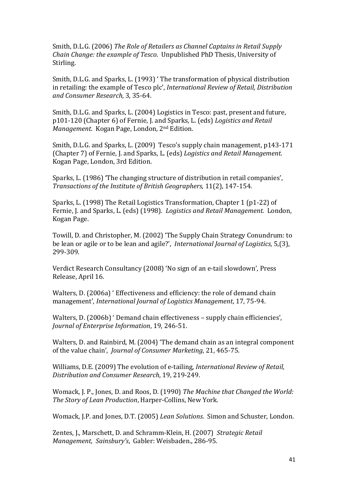Smith, D.L.G. (2006) *The Role of Retailers as Channel Captains in Retail Supply Chain Change: the example of Tesco*. Unpublished PhD Thesis, University of Stirling.

Smith, D.L.G. and Sparks, L. (1993) ' The transformation of physical distribution in retailing: the example of Tesco plc', *International Review of Retail, Distribution and Consumer Research,* 3, 35-64.

Smith, D.L.G. and Sparks, L. (2004) Logistics in Tesco: past, present and future, p101-120 (Chapter 6) of Fernie, J. and Sparks, L. (eds) *Logistics and Retail Management*. Kogan Page, London, 2nd Edition.

Smith, D.L.G. and Sparks, L. (2009) Tesco's supply chain management, p143-171 (Chapter 7) of Fernie, J. and Sparks, L. (eds) *Logistics and Retail Management*. Kogan Page, London, 3rd Edition.

Sparks, L. (1986) 'The changing structure of distribution in retail companies', *Transactions of the Institute of British Geographers,* 11(2), 147-154.

Sparks, L. (1998) The Retail Logistics Transformation, Chapter 1 (p1-22) of Fernie, J. and Sparks, L. (eds) (1998). *Logistics and Retail Management.* London, Kogan Page.

Towill, D. and Christopher, M. (2002) 'The Supply Chain Strategy Conundrum: to be lean or agile or to be lean and agile?', *International Journal of Logistics*, 5,(3), 299-309.

Verdict Research Consultancy (2008) 'No sign of an e-tail slowdown', Press Release, April 16.

Walters, D. (2006a) ' Effectiveness and efficiency: the role of demand chain management', *International Journal of Logistics Management*, 17, 75-94.

Walters, D. (2006b) ' Demand chain effectiveness – supply chain efficiencies', *Journal of Enterprise Information*, 19, 246-51.

Walters, D. and Rainbird, M. (2004) 'The demand chain as an integral component of the value chain', *Journal of Consumer Marketing*, 21, 465-75.

Williams, D.E. (2009) The evolution of e-tailing, *International Review of Retail, Distribution and Consumer Research*, 19, 219-249.

Womack, J. P., Jones, D. and Roos, D. (1990) *The Machine that Changed the World: The Story of Lean Production*, Harper-Collins, New York.

Womack, J.P. and Jones, D.T. (2005) *Lean Solutions*. Simon and Schuster, London.

Zentes, J., Marschett, D. and Schramm-Klein, H. (2007) *Strategic Retail Management*, *Sainsbury's*, Gabler: Weisbaden., 286-95.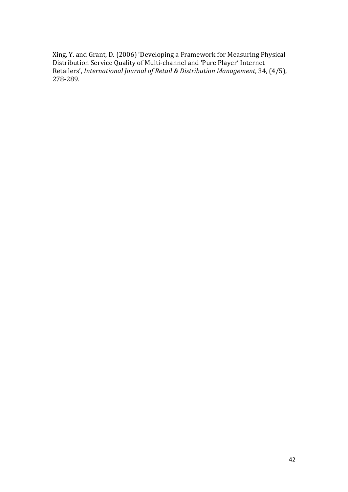Xing, Y. and Grant, D. (2006) 'Developing a Framework for Measuring Physical Distribution Service Quality of Multi-channel and 'Pure Player' Internet Retailers', *International Journal of Retail & Distribution Management*, 34, (4/5), 278-289.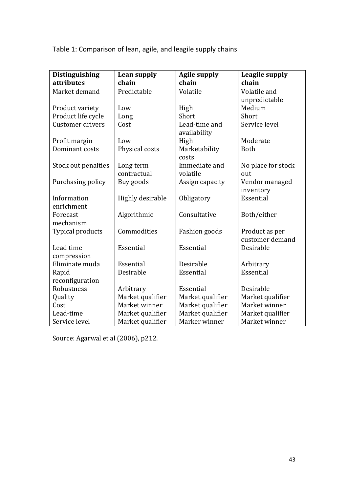Table 1: Comparison of lean, agile, and leagile supply chains

| Distinguishing      | Lean supply      | <b>Agile supply</b>  | Leagile supply     |
|---------------------|------------------|----------------------|--------------------|
| attributes          | chain            | chain                | chain              |
| Market demand       | Predictable      | Volatile             | Volatile and       |
|                     |                  |                      | unpredictable      |
| Product variety     | Low              | High                 | Medium             |
| Product life cycle  | Long             | Short                | Short              |
| Customer drivers    | Cost             | Lead-time and        | Service level      |
|                     |                  | availability         |                    |
| Profit margin       | Low              | High                 | Moderate           |
| Dominant costs      | Physical costs   | Marketability        | <b>Both</b>        |
|                     |                  | costs                |                    |
| Stock out penalties | Long term        | Immediate and        | No place for stock |
|                     | contractual      | volatile             | out                |
| Purchasing policy   | Buy goods        | Assign capacity      | Vendor managed     |
|                     |                  |                      | inventory          |
| Information         | Highly desirable | Obligatory           | Essential          |
| enrichment          |                  |                      |                    |
| Forecast            | Algorithmic      | Consultative         | Both/either        |
| mechanism           |                  |                      |                    |
| Typical products    | Commodities      | <b>Fashion goods</b> | Product as per     |
|                     |                  |                      | customer demand    |
| Lead time           | Essential        | Essential            | Desirable          |
| compression         |                  |                      |                    |
| Eliminate muda      | Essential        | Desirable            | Arbitrary          |
| Rapid               | Desirable        | Essential            | Essential          |
| reconfiguration     |                  |                      |                    |
| Robustness          | Arbitrary        | Essential            | Desirable          |
| Quality             | Market qualifier | Market qualifier     | Market qualifier   |
| Cost                | Market winner    | Market qualifier     | Market winner      |
| Lead-time           | Market qualifier | Market qualifier     | Market qualifier   |
| Service level       | Market qualifier | Marker winner        | Market winner      |

Source: Agarwal et al (2006), p212.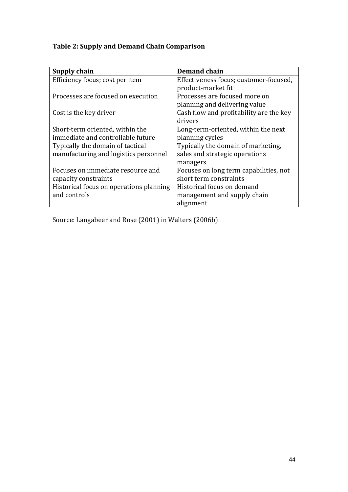# **Table 2: Supply and Demand Chain Comparison**

| Supply chain                            | <b>Demand chain</b>                     |
|-----------------------------------------|-----------------------------------------|
| Efficiency focus; cost per item         | Effectiveness focus; customer-focused,  |
|                                         | product-market fit                      |
| Processes are focused on execution      | Processes are focused more on           |
|                                         | planning and delivering value           |
| Cost is the key driver                  | Cash flow and profitability are the key |
|                                         | drivers                                 |
| Short-term oriented, within the         | Long-term-oriented, within the next     |
| immediate and controllable future       | planning cycles                         |
| Typically the domain of tactical        | Typically the domain of marketing,      |
| manufacturing and logistics personnel   | sales and strategic operations          |
|                                         | managers                                |
| Focuses on immediate resource and       | Focuses on long term capabilities, not  |
| capacity constraints                    | short term constraints                  |
| Historical focus on operations planning | Historical focus on demand              |
| and controls                            | management and supply chain             |
|                                         | alignment                               |

Source: Langabeer and Rose (2001) in Walters (2006b)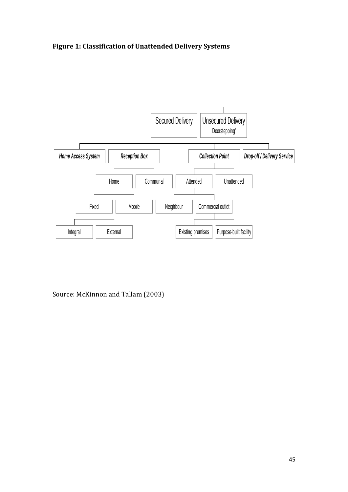## **Figure 1: Classification of Unattended Delivery Systems**



Source: McKinnon and Tallam (2003)